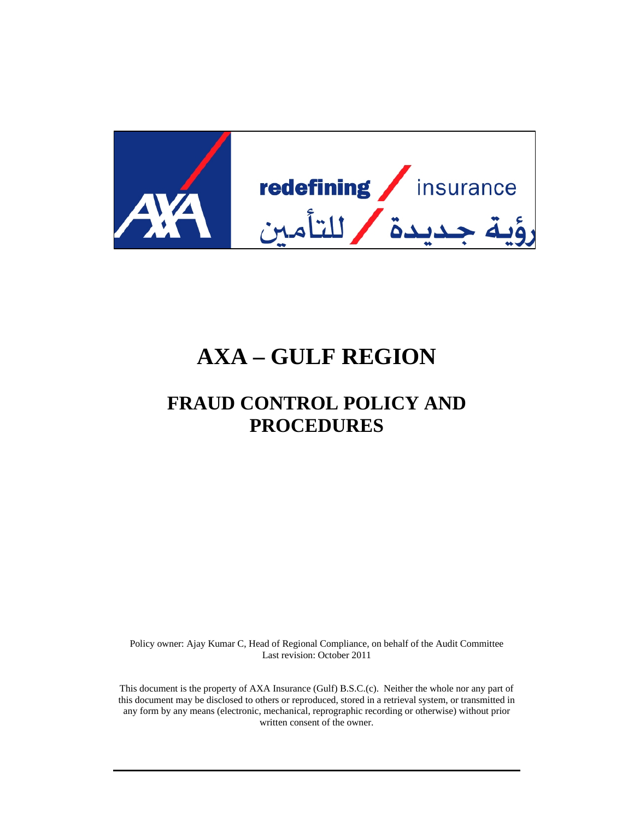

# **AXA – GULF REGION**

## **FRAUD CONTROL POLICY AND PROCEDURES**

Policy owner: Ajay Kumar C, Head of Regional Compliance, on behalf of the Audit Committee Last revision: October 2011

This document is the property of AXA Insurance (Gulf) B.S.C.(c). Neither the whole nor any part of this document may be disclosed to others or reproduced, stored in a retrieval system, or transmitted in any form by any means (electronic, mechanical, reprographic recording or otherwise) without prior written consent of the owner.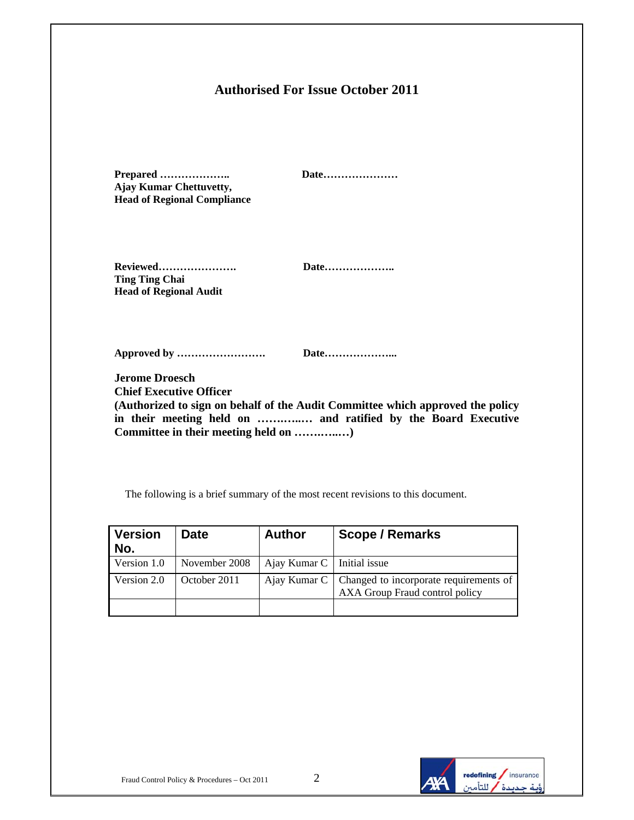## **Authorised For Issue October 2011**

| Prepared<br><b>Ajay Kumar Chettuvetty,</b><br><b>Head of Regional Compliance</b>                                                                                                                                                                   | Date |  |  |
|----------------------------------------------------------------------------------------------------------------------------------------------------------------------------------------------------------------------------------------------------|------|--|--|
| Reviewed<br><b>Ting Ting Chai</b><br><b>Head of Regional Audit</b>                                                                                                                                                                                 | Date |  |  |
|                                                                                                                                                                                                                                                    | Date |  |  |
| <b>Jerome Droesch</b><br><b>Chief Executive Officer</b><br>(Authorized to sign on behalf of the Audit Committee which approved the policy<br>in their meeting held on  and ratified by the Board Executive<br>Committee in their meeting held on ) |      |  |  |

The following is a brief summary of the most recent revisions to this document.

| <b>Version</b><br>No. | <b>Date</b>   | <b>Author</b>                | <b>Scope / Remarks</b>                                                                  |
|-----------------------|---------------|------------------------------|-----------------------------------------------------------------------------------------|
| Version 1.0           | November 2008 | Ajay Kumar $C$ Initial issue |                                                                                         |
| Version 2.0           | October 2011  |                              | Ajay Kumar C   Changed to incorporate requirements of<br>AXA Group Fraud control policy |
|                       |               |                              |                                                                                         |

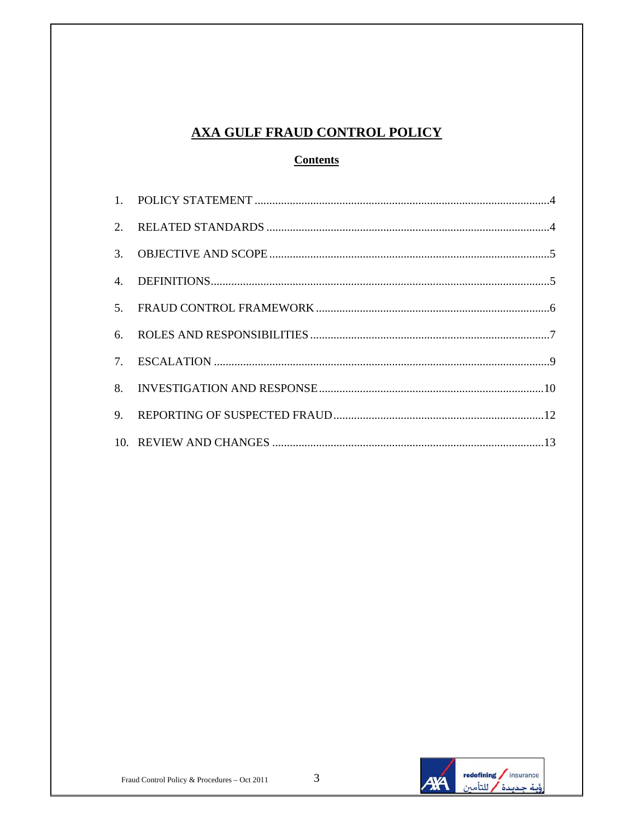## **AXA GULF FRAUD CONTROL POLICY**

### **Contents**

| 2. |  |
|----|--|
| 3. |  |
| 4. |  |
|    |  |
|    |  |
|    |  |
|    |  |
| 9. |  |
|    |  |

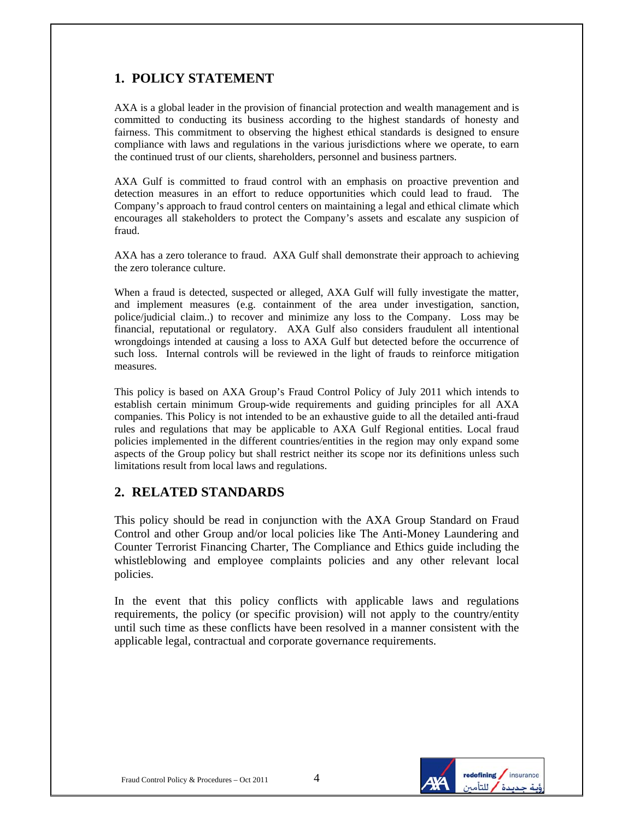## **1. POLICY STATEMENT**

AXA is a global leader in the provision of financial protection and wealth management and is committed to conducting its business according to the highest standards of honesty and fairness. This commitment to observing the highest ethical standards is designed to ensure compliance with laws and regulations in the various jurisdictions where we operate, to earn the continued trust of our clients, shareholders, personnel and business partners.

AXA Gulf is committed to fraud control with an emphasis on proactive prevention and detection measures in an effort to reduce opportunities which could lead to fraud. The Company's approach to fraud control centers on maintaining a legal and ethical climate which encourages all stakeholders to protect the Company's assets and escalate any suspicion of fraud.

AXA has a zero tolerance to fraud. AXA Gulf shall demonstrate their approach to achieving the zero tolerance culture.

When a fraud is detected, suspected or alleged, AXA Gulf will fully investigate the matter, and implement measures (e.g. containment of the area under investigation, sanction, police/judicial claim..) to recover and minimize any loss to the Company. Loss may be financial, reputational or regulatory. AXA Gulf also considers fraudulent all intentional wrongdoings intended at causing a loss to AXA Gulf but detected before the occurrence of such loss. Internal controls will be reviewed in the light of frauds to reinforce mitigation measures.

This policy is based on AXA Group's Fraud Control Policy of July 2011 which intends to establish certain minimum Group-wide requirements and guiding principles for all AXA companies. This Policy is not intended to be an exhaustive guide to all the detailed anti-fraud rules and regulations that may be applicable to AXA Gulf Regional entities. Local fraud policies implemented in the different countries/entities in the region may only expand some aspects of the Group policy but shall restrict neither its scope nor its definitions unless such limitations result from local laws and regulations.

#### **2. RELATED STANDARDS**

This policy should be read in conjunction with the AXA Group Standard on Fraud Control and other Group and/or local policies like The Anti-Money Laundering and Counter Terrorist Financing Charter, The Compliance and Ethics guide including the whistleblowing and employee complaints policies and any other relevant local policies.

In the event that this policy conflicts with applicable laws and regulations requirements, the policy (or specific provision) will not apply to the country/entity until such time as these conflicts have been resolved in a manner consistent with the applicable legal, contractual and corporate governance requirements.

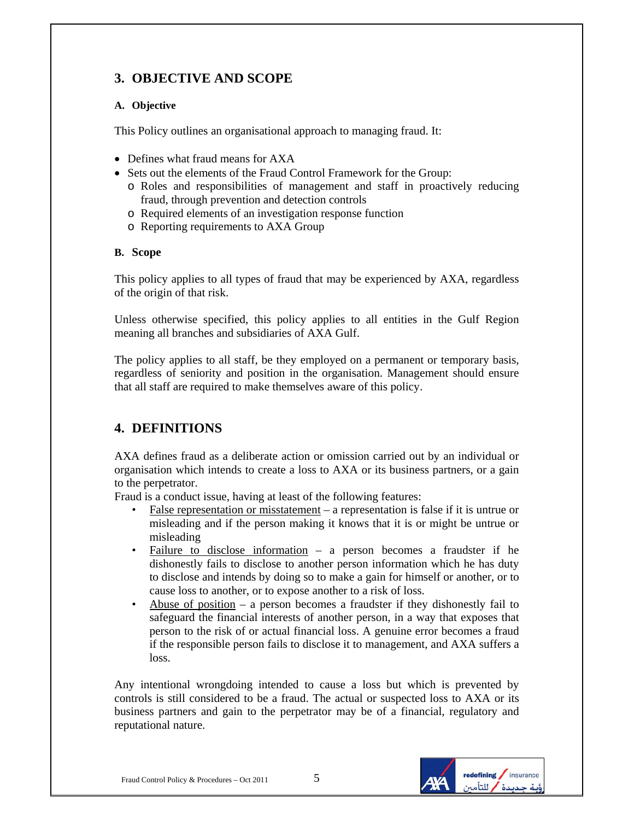## **3. OBJECTIVE AND SCOPE**

#### **A. Objective**

This Policy outlines an organisational approach to managing fraud. It:

- Defines what fraud means for AXA
- Sets out the elements of the Fraud Control Framework for the Group:
	- o Roles and responsibilities of management and staff in proactively reducing fraud, through prevention and detection controls
	- o Required elements of an investigation response function
	- o Reporting requirements to AXA Group

#### **B. Scope**

This policy applies to all types of fraud that may be experienced by AXA, regardless of the origin of that risk.

Unless otherwise specified, this policy applies to all entities in the Gulf Region meaning all branches and subsidiaries of AXA Gulf.

The policy applies to all staff, be they employed on a permanent or temporary basis, regardless of seniority and position in the organisation. Management should ensure that all staff are required to make themselves aware of this policy.

## **4. DEFINITIONS**

AXA defines fraud as a deliberate action or omission carried out by an individual or organisation which intends to create a loss to AXA or its business partners, or a gain to the perpetrator.

Fraud is a conduct issue, having at least of the following features:

- False representation or misstatement a representation is false if it is untrue or misleading and if the person making it knows that it is or might be untrue or misleading
- Failure to disclose information a person becomes a fraudster if he dishonestly fails to disclose to another person information which he has duty to disclose and intends by doing so to make a gain for himself or another, or to cause loss to another, or to expose another to a risk of loss.
- Abuse of position  $-$  a person becomes a fraudster if they dishonestly fail to safeguard the financial interests of another person, in a way that exposes that person to the risk of or actual financial loss. A genuine error becomes a fraud if the responsible person fails to disclose it to management, and AXA suffers a loss.

Any intentional wrongdoing intended to cause a loss but which is prevented by controls is still considered to be a fraud. The actual or suspected loss to AXA or its business partners and gain to the perpetrator may be of a financial, regulatory and reputational nature.

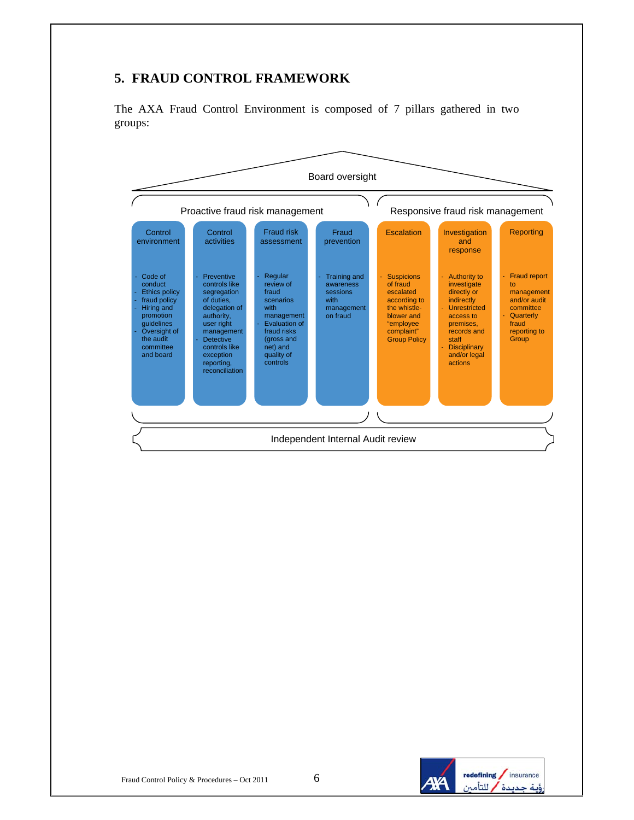## **5. FRAUD CONTROL FRAMEWORK**

The AXA Fraud Control Environment is composed of 7 pillars gathered in two groups:



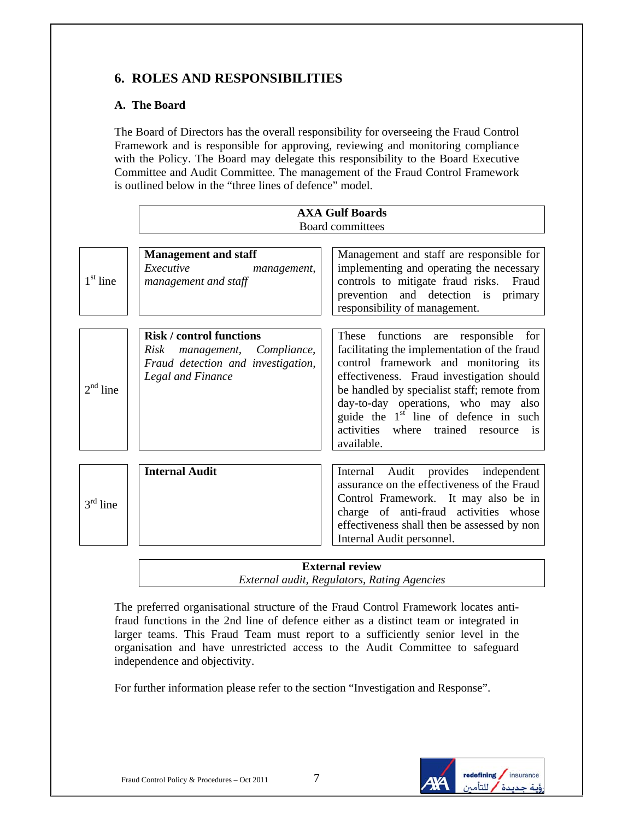## **6. ROLES AND RESPONSIBILITIES**

#### **A. The Board**

The Board of Directors has the overall responsibility for overseeing the Fraud Control Framework and is responsible for approving, reviewing and monitoring compliance with the Policy. The Board may delegate this responsibility to the Board Executive Committee and Audit Committee. The management of the Fraud Control Framework is outlined below in the "three lines of defence" model.

|            | <b>AXA Gulf Boards</b>                                                                                                     |                                                                                                                                                                                                                                                                                                                                                                              |  |  |
|------------|----------------------------------------------------------------------------------------------------------------------------|------------------------------------------------------------------------------------------------------------------------------------------------------------------------------------------------------------------------------------------------------------------------------------------------------------------------------------------------------------------------------|--|--|
|            | Board committees                                                                                                           |                                                                                                                                                                                                                                                                                                                                                                              |  |  |
|            |                                                                                                                            |                                                                                                                                                                                                                                                                                                                                                                              |  |  |
| $1st$ line | <b>Management and staff</b><br>Executive<br>management,<br>management and staff                                            | Management and staff are responsible for<br>implementing and operating the necessary<br>controls to mitigate fraud risks. Fraud<br>prevention and detection is primary<br>responsibility of management.                                                                                                                                                                      |  |  |
| $2nd$ line | <b>Risk / control functions</b><br>Risk management, Compliance,<br>Fraud detection and investigation,<br>Legal and Finance | functions are responsible for<br>These<br>facilitating the implementation of the fraud<br>control framework and monitoring its<br>effectiveness. Fraud investigation should<br>be handled by specialist staff; remote from<br>day-to-day operations, who may also<br>guide the 1 <sup>st</sup> line of defence in such<br>activities where trained resource is<br>available. |  |  |
| $3rd$ line | <b>Internal Audit</b>                                                                                                      | Internal Audit<br>provides independent<br>assurance on the effectiveness of the Fraud<br>Control Framework. It may also be in<br>charge of anti-fraud activities whose<br>effectiveness shall then be assessed by non<br>Internal Audit personnel.                                                                                                                           |  |  |

#### **External review**  *External audit, Regulators, Rating Agencies*

The preferred organisational structure of the Fraud Control Framework locates antifraud functions in the 2nd line of defence either as a distinct team or integrated in larger teams. This Fraud Team must report to a sufficiently senior level in the organisation and have unrestricted access to the Audit Committee to safeguard independence and objectivity.

For further information please refer to the section "Investigation and Response".

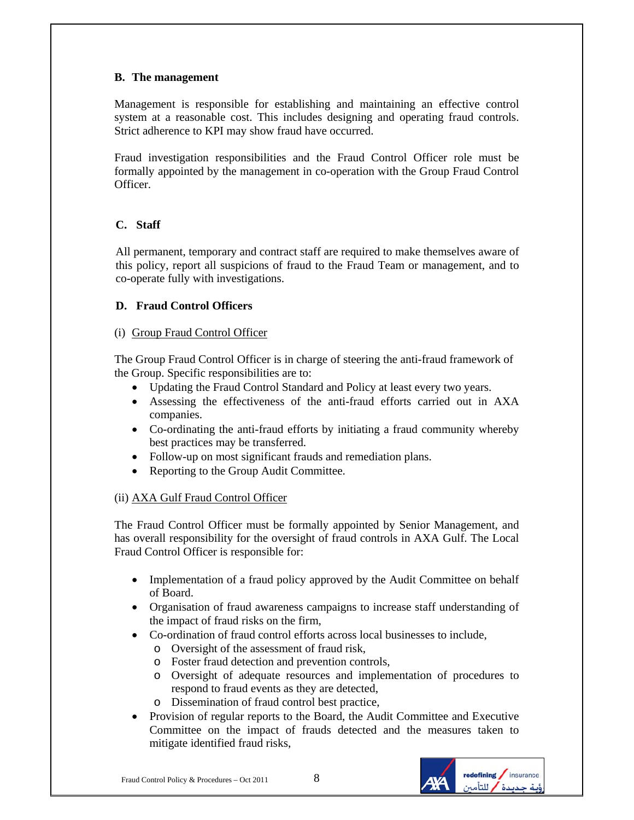#### **B. The management**

Management is responsible for establishing and maintaining an effective control system at a reasonable cost. This includes designing and operating fraud controls. Strict adherence to KPI may show fraud have occurred.

Fraud investigation responsibilities and the Fraud Control Officer role must be formally appointed by the management in co-operation with the Group Fraud Control Officer.

#### **C. Staff**

All permanent, temporary and contract staff are required to make themselves aware of this policy, report all suspicions of fraud to the Fraud Team or management, and to co-operate fully with investigations.

#### **D. Fraud Control Officers**

#### (i) Group Fraud Control Officer

The Group Fraud Control Officer is in charge of steering the anti-fraud framework of the Group. Specific responsibilities are to:

- Updating the Fraud Control Standard and Policy at least every two years.
- Assessing the effectiveness of the anti-fraud efforts carried out in AXA companies.
- Co-ordinating the anti-fraud efforts by initiating a fraud community whereby best practices may be transferred.
- Follow-up on most significant frauds and remediation plans.
- Reporting to the Group Audit Committee.

#### (ii) AXA Gulf Fraud Control Officer

The Fraud Control Officer must be formally appointed by Senior Management, and has overall responsibility for the oversight of fraud controls in AXA Gulf. The Local Fraud Control Officer is responsible for:

- Implementation of a fraud policy approved by the Audit Committee on behalf of Board.
- Organisation of fraud awareness campaigns to increase staff understanding of the impact of fraud risks on the firm,
- Co-ordination of fraud control efforts across local businesses to include,
	- o Oversight of the assessment of fraud risk,
	- o Foster fraud detection and prevention controls,
	- o Oversight of adequate resources and implementation of procedures to respond to fraud events as they are detected,
	- o Dissemination of fraud control best practice,
- Provision of regular reports to the Board, the Audit Committee and Executive Committee on the impact of frauds detected and the measures taken to mitigate identified fraud risks,

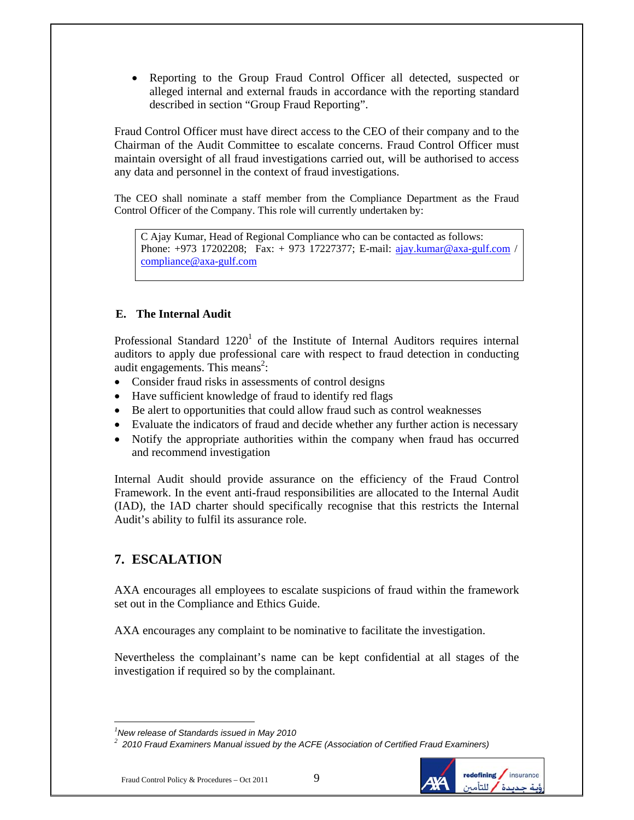• Reporting to the Group Fraud Control Officer all detected, suspected or alleged internal and external frauds in accordance with the reporting standard described in section "Group Fraud Reporting".

Fraud Control Officer must have direct access to the CEO of their company and to the Chairman of the Audit Committee to escalate concerns. Fraud Control Officer must maintain oversight of all fraud investigations carried out, will be authorised to access any data and personnel in the context of fraud investigations.

The CEO shall nominate a staff member from the Compliance Department as the Fraud Control Officer of the Company. This role will currently undertaken by:

C Ajay Kumar, Head of Regional Compliance who can be contacted as follows: Phone: +973 17202208; Fax: + 973 17227377; E-mail: ajay.kumar@axa-gulf.com / compliance@axa-gulf.com

#### **E. The Internal Audit**

Professional Standard  $1220<sup>1</sup>$  of the Institute of Internal Auditors requires internal auditors to apply due professional care with respect to fraud detection in conducting audit engagements. This means<sup>2</sup>:

- Consider fraud risks in assessments of control designs
- Have sufficient knowledge of fraud to identify red flags
- Be alert to opportunities that could allow fraud such as control weaknesses
- Evaluate the indicators of fraud and decide whether any further action is necessary
- Notify the appropriate authorities within the company when fraud has occurred and recommend investigation

Internal Audit should provide assurance on the efficiency of the Fraud Control Framework. In the event anti-fraud responsibilities are allocated to the Internal Audit (IAD), the IAD charter should specifically recognise that this restricts the Internal Audit's ability to fulfil its assurance role.

## **7. ESCALATION**

AXA encourages all employees to escalate suspicions of fraud within the framework set out in the Compliance and Ethics Guide.

AXA encourages any complaint to be nominative to facilitate the investigation.

Nevertheless the complainant's name can be kept confidential at all stages of the investigation if required so by the complainant.



 $\overline{a}$ *1 New release of Standards issued in May 2010*

*<sup>2</sup> 2010 Fraud Examiners Manual issued by the ACFE (Association of Certified Fraud Examiners)*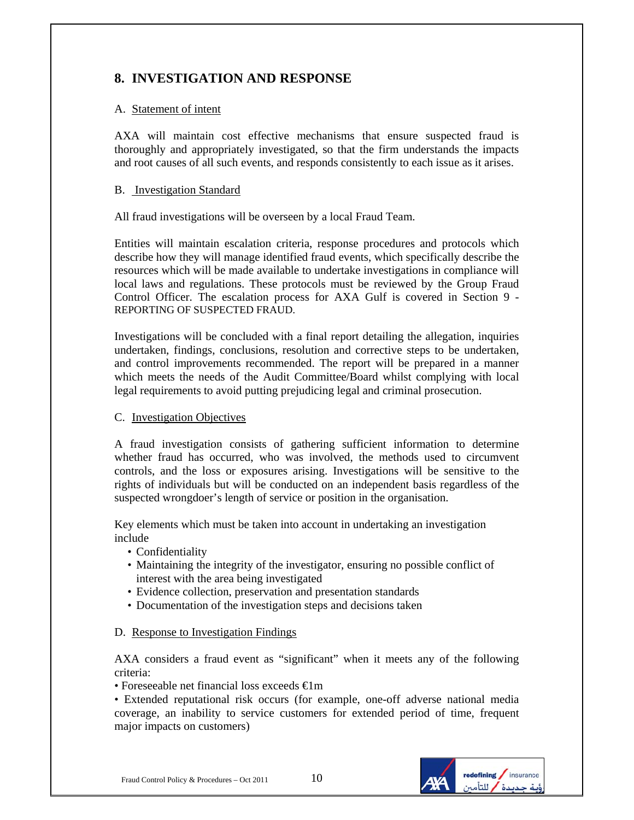## **8. INVESTIGATION AND RESPONSE**

#### A. Statement of intent

AXA will maintain cost effective mechanisms that ensure suspected fraud is thoroughly and appropriately investigated, so that the firm understands the impacts and root causes of all such events, and responds consistently to each issue as it arises.

#### B. Investigation Standard

All fraud investigations will be overseen by a local Fraud Team.

Entities will maintain escalation criteria, response procedures and protocols which describe how they will manage identified fraud events, which specifically describe the resources which will be made available to undertake investigations in compliance will local laws and regulations. These protocols must be reviewed by the Group Fraud Control Officer. The escalation process for AXA Gulf is covered in Section 9 - REPORTING OF SUSPECTED FRAUD.

Investigations will be concluded with a final report detailing the allegation, inquiries undertaken, findings, conclusions, resolution and corrective steps to be undertaken, and control improvements recommended. The report will be prepared in a manner which meets the needs of the Audit Committee/Board whilst complying with local legal requirements to avoid putting prejudicing legal and criminal prosecution.

#### C. Investigation Objectives

A fraud investigation consists of gathering sufficient information to determine whether fraud has occurred, who was involved, the methods used to circumvent controls, and the loss or exposures arising. Investigations will be sensitive to the rights of individuals but will be conducted on an independent basis regardless of the suspected wrongdoer's length of service or position in the organisation.

Key elements which must be taken into account in undertaking an investigation include

- Confidentiality
- Maintaining the integrity of the investigator, ensuring no possible conflict of interest with the area being investigated
- Evidence collection, preservation and presentation standards
- Documentation of the investigation steps and decisions taken

#### D. Response to Investigation Findings

AXA considers a fraud event as "significant" when it meets any of the following criteria:

• Foreseeable net financial loss exceeds €1m

• Extended reputational risk occurs (for example, one-off adverse national media coverage, an inability to service customers for extended period of time, frequent major impacts on customers)

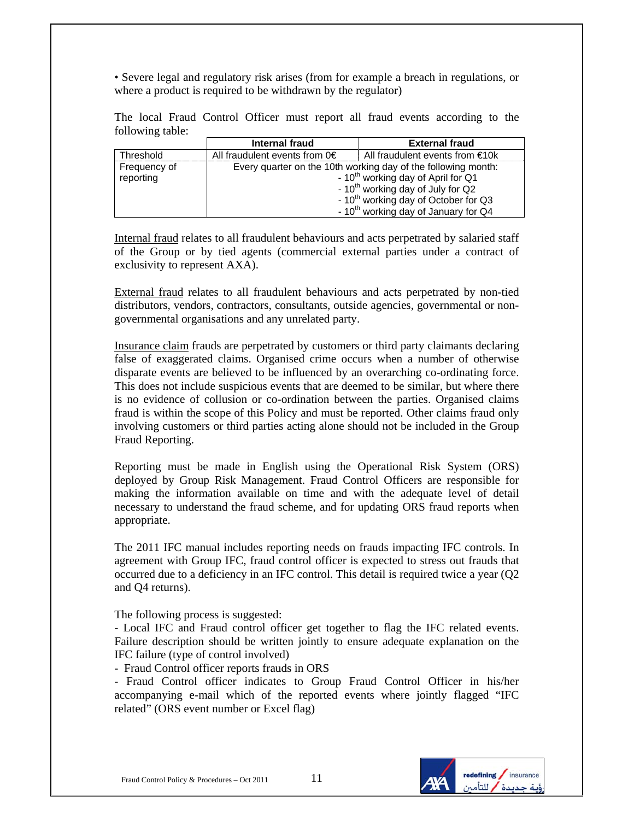• Severe legal and regulatory risk arises (from for example a breach in regulations, or where a product is required to be withdrawn by the regulator)

The local Fraud Control Officer must report all fraud events according to the following table:

|                           | Internal fraud                                                                                                                                                                                                                                                           | <b>External fraud</b>                |
|---------------------------|--------------------------------------------------------------------------------------------------------------------------------------------------------------------------------------------------------------------------------------------------------------------------|--------------------------------------|
| Threshold                 | All fraudulent events from $0 \in$                                                                                                                                                                                                                                       | All fraudulent events from $\in$ 10k |
| Frequency of<br>reporting | Every quarter on the 10th working day of the following month:<br>- 10 <sup>th</sup> working day of April for Q1<br>- 10 <sup>th</sup> working day of July for Q2<br>- 10 <sup>th</sup> working day of October for Q3<br>- 10 <sup>th</sup> working day of January for Q4 |                                      |

Internal fraud relates to all fraudulent behaviours and acts perpetrated by salaried staff of the Group or by tied agents (commercial external parties under a contract of exclusivity to represent AXA).

External fraud relates to all fraudulent behaviours and acts perpetrated by non-tied distributors, vendors, contractors, consultants, outside agencies, governmental or nongovernmental organisations and any unrelated party.

Insurance claim frauds are perpetrated by customers or third party claimants declaring false of exaggerated claims. Organised crime occurs when a number of otherwise disparate events are believed to be influenced by an overarching co-ordinating force. This does not include suspicious events that are deemed to be similar, but where there is no evidence of collusion or co-ordination between the parties. Organised claims fraud is within the scope of this Policy and must be reported. Other claims fraud only involving customers or third parties acting alone should not be included in the Group Fraud Reporting.

Reporting must be made in English using the Operational Risk System (ORS) deployed by Group Risk Management. Fraud Control Officers are responsible for making the information available on time and with the adequate level of detail necessary to understand the fraud scheme, and for updating ORS fraud reports when appropriate.

The 2011 IFC manual includes reporting needs on frauds impacting IFC controls. In agreement with Group IFC, fraud control officer is expected to stress out frauds that occurred due to a deficiency in an IFC control. This detail is required twice a year (Q2 and Q4 returns).

The following process is suggested:

- Local IFC and Fraud control officer get together to flag the IFC related events. Failure description should be written jointly to ensure adequate explanation on the IFC failure (type of control involved)

- Fraud Control officer reports frauds in ORS

- Fraud Control officer indicates to Group Fraud Control Officer in his/her accompanying e-mail which of the reported events where jointly flagged "IFC related" (ORS event number or Excel flag)

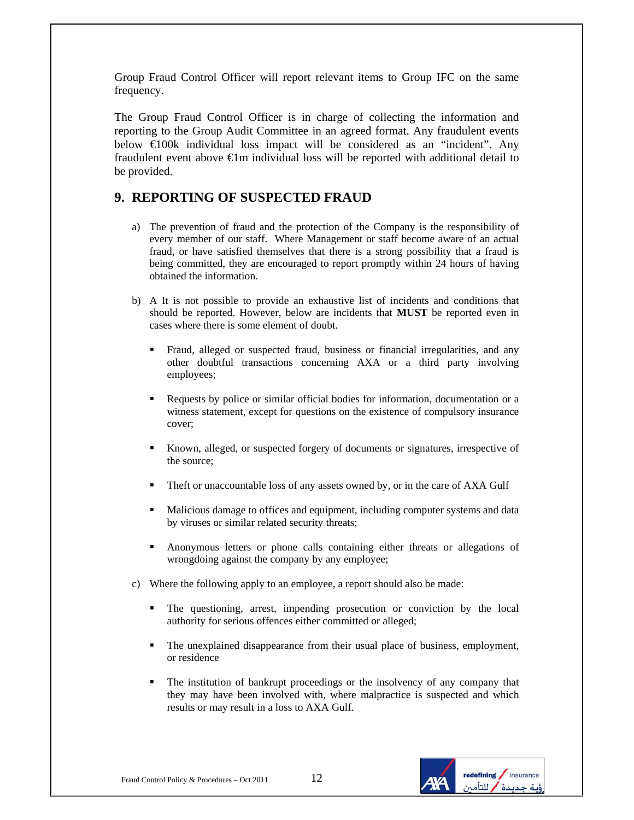Group Fraud Control Officer will report relevant items to Group IFC on the same frequency.

The Group Fraud Control Officer is in charge of collecting the information and reporting to the Group Audit Committee in an agreed format. Any fraudulent events below €100k individual loss impact will be considered as an "incident". Any fraudulent event above  $\bigoplus$ m individual loss will be reported with additional detail to be provided.

### **9. REPORTING OF SUSPECTED FRAUD**

- a) The prevention of fraud and the protection of the Company is the responsibility of every member of our staff. Where Management or staff become aware of an actual fraud, or have satisfied themselves that there is a strong possibility that a fraud is being committed, they are encouraged to report promptly within 24 hours of having obtained the information.
- b) A It is not possible to provide an exhaustive list of incidents and conditions that should be reported. However, below are incidents that **MUST** be reported even in cases where there is some element of doubt.
	- Fraud, alleged or suspected fraud, business or financial irregularities, and any other doubtful transactions concerning AXA or a third party involving employees;
	- Requests by police or similar official bodies for information, documentation or a witness statement, except for questions on the existence of compulsory insurance cover;
	- Known, alleged, or suspected forgery of documents or signatures, irrespective of the source;
	- Theft or unaccountable loss of any assets owned by, or in the care of AXA Gulf
	- Malicious damage to offices and equipment, including computer systems and data by viruses or similar related security threats;
	- Anonymous letters or phone calls containing either threats or allegations of wrongdoing against the company by any employee;
- c) Where the following apply to an employee, a report should also be made:
	- The questioning, arrest, impending prosecution or conviction by the local authority for serious offences either committed or alleged;
	- The unexplained disappearance from their usual place of business, employment, or residence
	- The institution of bankrupt proceedings or the insolvency of any company that they may have been involved with, where malpractice is suspected and which results or may result in a loss to AXA Gulf.